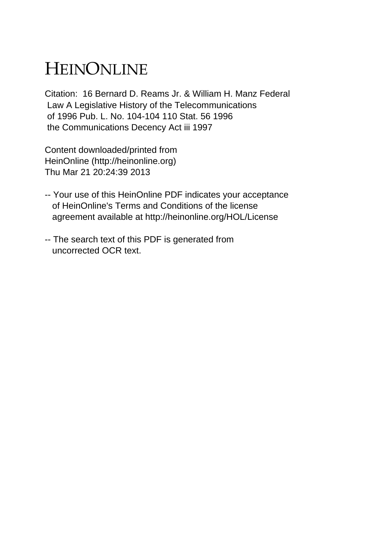## HEINONLINE

Citation: 16 Bernard D. Reams Jr. & William H. Manz Federal Law A Legislative History of the Telecommunications of 1996 Pub. L. No. 104-104 110 Stat. 56 1996 the Communications Decency Act iii 1997

Content downloaded/printed from HeinOnline (http://heinonline.org) Thu Mar 21 20:24:39 2013

- -- Your use of this HeinOnline PDF indicates your acceptance of HeinOnline's Terms and Conditions of the license agreement available at http://heinonline.org/HOL/License
- -- The search text of this PDF is generated from uncorrected OCR text.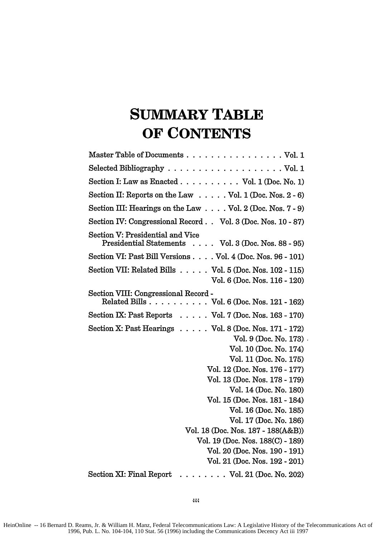## **SUMMARY TABLE OF CONTENTS**

| Selected Bibliography $\ldots \ldots \ldots \ldots \ldots \ldots \ldots$ Vol. 1                    |
|----------------------------------------------------------------------------------------------------|
| Section I: Law as Enacted $\ldots \ldots \ldots$ Vol. 1 (Doc. No. 1)                               |
| Section II: Reports on the Law $\ldots$ . Vol. 1 (Doc. Nos. 2 - 6)                                 |
| Section III: Hearings on the Law Vol. 2 (Doc. Nos. 7 - 9)                                          |
| Section IV: Congressional Record Vol. 3 (Doc. Nos. 10 - 87)                                        |
| Section V: Presidential and Vice<br>Presidential Statements Vol. 3 (Doc. Nos. 88 - 95)             |
| Section VI: Past Bill Versions Vol. 4 (Doc. Nos. 96 - 101)                                         |
| Section VII: Related Bills $\ldots$ . Vol. 5 (Doc. Nos. 102 - 115)<br>Vol. 6 (Doc. Nos. 116 - 120) |
| Section VIII: Congressional Record -<br>Related Bills Vol. 6 (Doc. Nos. 121 - 162)                 |
| Section IX: Past Reports $\ldots$ . Vol. 7 (Doc. Nos. 163 - 170)                                   |
| Section X: Past Hearings Vol. 8 (Doc. Nos. 171 - 172)                                              |
| Vol. 9 (Doc. No. 173)                                                                              |
| Vol. 10 (Doc. No. 174)                                                                             |
| Vol. 11 (Doc. No. 175)                                                                             |
| Vol. 12 (Doc. Nos. 176 - 177)                                                                      |
| Vol. 13 (Doc. Nos. 178 - 179)                                                                      |
| Vol. 14 (Doc. No. 180)                                                                             |
| Vol. 15 (Doc. Nos. 181 - 184)                                                                      |
| Vol. 16 (Doc. No. 185)                                                                             |
| Vol. 17 (Doc. No. 186)                                                                             |
| Vol. 18 (Doc. Nos. 187 - 188(A&B))                                                                 |
| Vol. 19 (Doc. Nos. 188(C) - 189)                                                                   |
| Vol. 20 (Doc. Nos. 190 - 191)                                                                      |
| Vol. 21 (Doc. Nos. 192 - 201)                                                                      |
| Section XI: Final Report<br>$\ldots \ldots \ldots$ Vol. 21 (Doc. No. 202)                          |